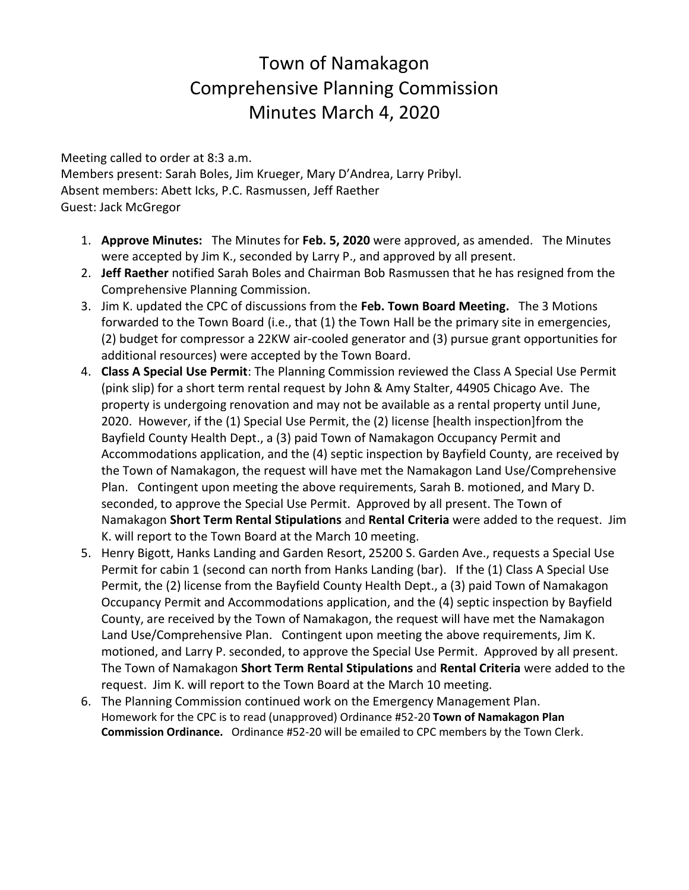## Town of Namakagon Comprehensive Planning Commission Minutes March 4, 2020

Meeting called to order at 8:3 a.m. Members present: Sarah Boles, Jim Krueger, Mary D'Andrea, Larry Pribyl. Absent members: Abett Icks, P.C. Rasmussen, Jeff Raether Guest: Jack McGregor

- 1. **Approve Minutes:** The Minutes for **Feb. 5, 2020** were approved, as amended. The Minutes were accepted by Jim K., seconded by Larry P., and approved by all present.
- 2. **Jeff Raether** notified Sarah Boles and Chairman Bob Rasmussen that he has resigned from the Comprehensive Planning Commission.
- 3. Jim K. updated the CPC of discussions from the **Feb. Town Board Meeting.** The 3 Motions forwarded to the Town Board (i.e., that (1) the Town Hall be the primary site in emergencies, (2) budget for compressor a 22KW air-cooled generator and (3) pursue grant opportunities for additional resources) were accepted by the Town Board.
- 4. **Class A Special Use Permit**: The Planning Commission reviewed the Class A Special Use Permit (pink slip) for a short term rental request by John & Amy Stalter, 44905 Chicago Ave. The property is undergoing renovation and may not be available as a rental property until June, 2020. However, if the (1) Special Use Permit, the (2) license [health inspection]from the Bayfield County Health Dept., a (3) paid Town of Namakagon Occupancy Permit and Accommodations application, and the (4) septic inspection by Bayfield County, are received by the Town of Namakagon, the request will have met the Namakagon Land Use/Comprehensive Plan. Contingent upon meeting the above requirements, Sarah B. motioned, and Mary D. seconded, to approve the Special Use Permit. Approved by all present. The Town of Namakagon **Short Term Rental Stipulations** and **Rental Criteria** were added to the request. Jim K. will report to the Town Board at the March 10 meeting.
- 5. Henry Bigott, Hanks Landing and Garden Resort, 25200 S. Garden Ave., requests a Special Use Permit for cabin 1 (second can north from Hanks Landing (bar). If the (1) Class A Special Use Permit, the (2) license from the Bayfield County Health Dept., a (3) paid Town of Namakagon Occupancy Permit and Accommodations application, and the (4) septic inspection by Bayfield County, are received by the Town of Namakagon, the request will have met the Namakagon Land Use/Comprehensive Plan. Contingent upon meeting the above requirements, Jim K. motioned, and Larry P. seconded, to approve the Special Use Permit. Approved by all present. The Town of Namakagon **Short Term Rental Stipulations** and **Rental Criteria** were added to the request. Jim K. will report to the Town Board at the March 10 meeting.
- 6. The Planning Commission continued work on the Emergency Management Plan. Homework for the CPC is to read (unapproved) Ordinance #52-20 **Town of Namakagon Plan Commission Ordinance.** Ordinance #52-20 will be emailed to CPC members by the Town Clerk.